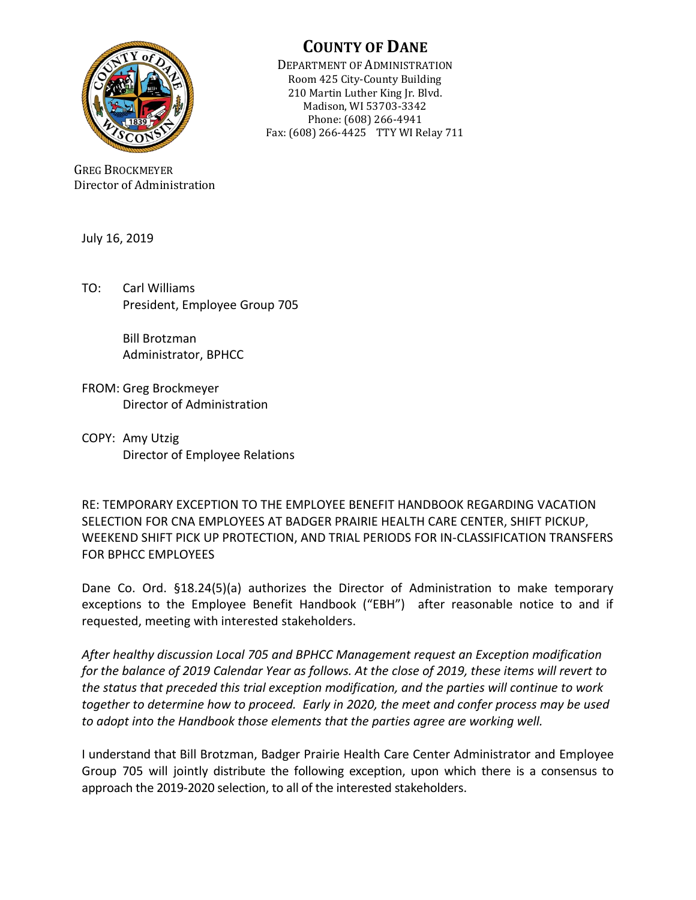

**COUNTY OF DANE** 

DEPARTMENT OF ADMINISTRATION Room 425 City-County Building 210 Martin Luther King Jr. Blvd. Madison, WI 53703-3342 Phone: (608) 266-4941 Fax: (608) 266-4425 TTY WI Relay 711

GREG BROCKMEYER Director of Administration

July 16, 2019

TO: Carl Williams President, Employee Group 705

> Bill Brotzman Administrator, BPHCC

- FROM: Greg Brockmeyer Director of Administration
- COPY: Amy Utzig Director of Employee Relations

RE: TEMPORARY EXCEPTION TO THE EMPLOYEE BENEFIT HANDBOOK REGARDING VACATION SELECTION FOR CNA EMPLOYEES AT BADGER PRAIRIE HEALTH CARE CENTER, SHIFT PICKUP, WEEKEND SHIFT PICK UP PROTECTION, AND TRIAL PERIODS FOR IN-CLASSIFICATION TRANSFERS FOR BPHCC EMPLOYEES

Dane Co. Ord. §18.24(5)(a) authorizes the Director of Administration to make temporary exceptions to the Employee Benefit Handbook ("EBH") after reasonable notice to and if requested, meeting with interested stakeholders.

*After healthy discussion Local 705 and BPHCC Management request an Exception modification for the balance of 2019 Calendar Year as follows. At the close of 2019, these items will revert to the status that preceded this trial exception modification, and the parties will continue to work together to determine how to proceed. Early in 2020, the meet and confer process may be used to adopt into the Handbook those elements that the parties agree are working well.*

I understand that Bill Brotzman, Badger Prairie Health Care Center Administrator and Employee Group 705 will jointly distribute the following exception, upon which there is a consensus to approach the 2019-2020 selection, to all of the interested stakeholders.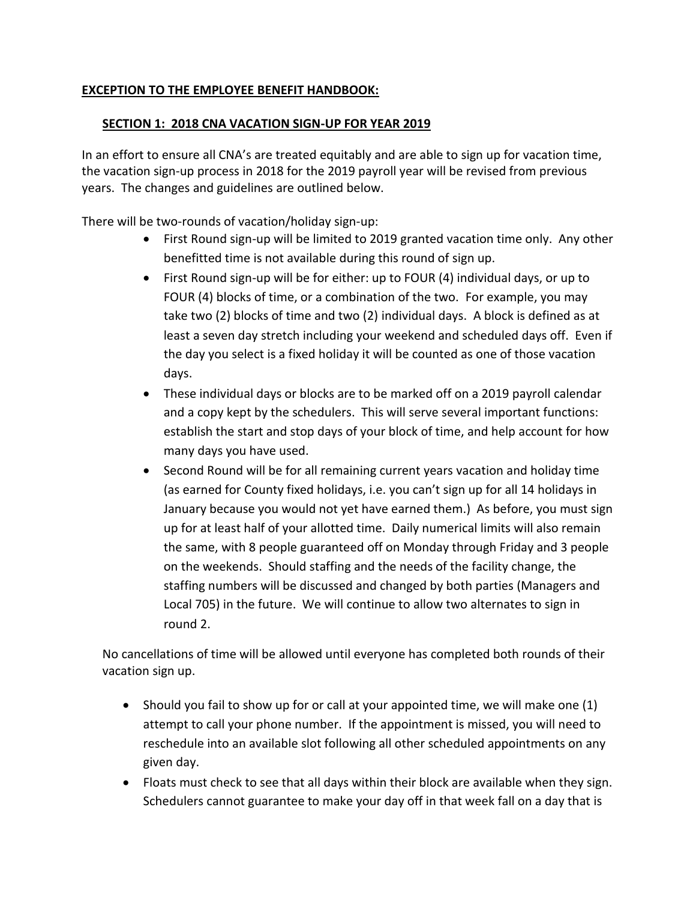## **EXCEPTION TO THE EMPLOYEE BENEFIT HANDBOOK:**

#### **SECTION 1: 2018 CNA VACATION SIGN-UP FOR YEAR 2019**

In an effort to ensure all CNA's are treated equitably and are able to sign up for vacation time, the vacation sign-up process in 2018 for the 2019 payroll year will be revised from previous years. The changes and guidelines are outlined below.

There will be two-rounds of vacation/holiday sign-up:

- First Round sign-up will be limited to 2019 granted vacation time only. Any other benefitted time is not available during this round of sign up.
- First Round sign-up will be for either: up to FOUR (4) individual days, or up to FOUR (4) blocks of time, or a combination of the two. For example, you may take two (2) blocks of time and two (2) individual days. A block is defined as at least a seven day stretch including your weekend and scheduled days off. Even if the day you select is a fixed holiday it will be counted as one of those vacation days.
- These individual days or blocks are to be marked off on a 2019 payroll calendar and a copy kept by the schedulers. This will serve several important functions: establish the start and stop days of your block of time, and help account for how many days you have used.
- Second Round will be for all remaining current years vacation and holiday time (as earned for County fixed holidays, i.e. you can't sign up for all 14 holidays in January because you would not yet have earned them.) As before, you must sign up for at least half of your allotted time. Daily numerical limits will also remain the same, with 8 people guaranteed off on Monday through Friday and 3 people on the weekends. Should staffing and the needs of the facility change, the staffing numbers will be discussed and changed by both parties (Managers and Local 705) in the future. We will continue to allow two alternates to sign in round 2.

No cancellations of time will be allowed until everyone has completed both rounds of their vacation sign up.

- $\bullet$  Should you fail to show up for or call at your appointed time, we will make one (1) attempt to call your phone number. If the appointment is missed, you will need to reschedule into an available slot following all other scheduled appointments on any given day.
- Floats must check to see that all days within their block are available when they sign. Schedulers cannot guarantee to make your day off in that week fall on a day that is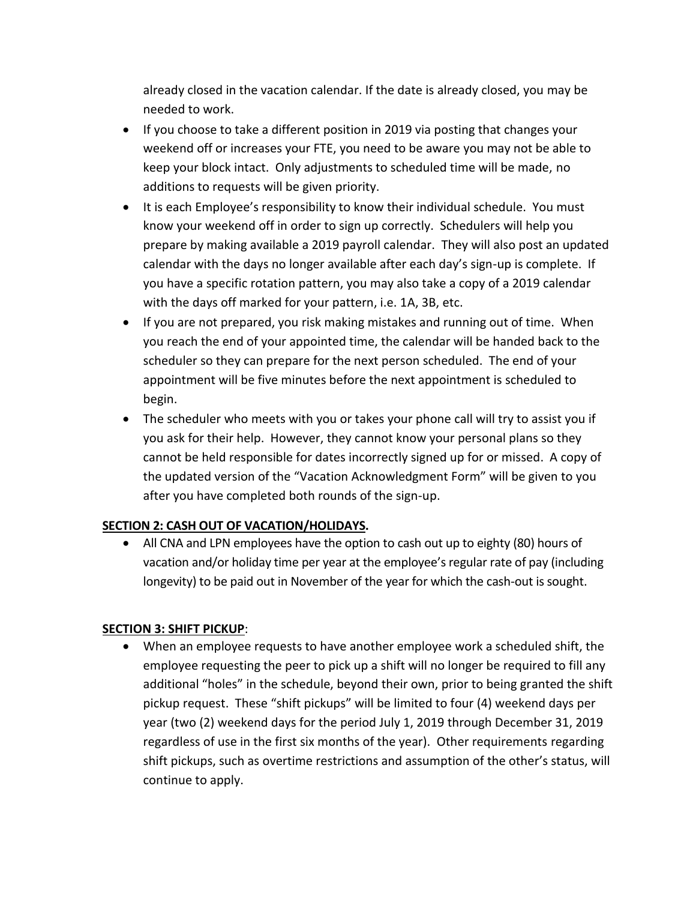already closed in the vacation calendar. If the date is already closed, you may be needed to work.

- If you choose to take a different position in 2019 via posting that changes your weekend off or increases your FTE, you need to be aware you may not be able to keep your block intact. Only adjustments to scheduled time will be made, no additions to requests will be given priority.
- It is each Employee's responsibility to know their individual schedule. You must know your weekend off in order to sign up correctly. Schedulers will help you prepare by making available a 2019 payroll calendar. They will also post an updated calendar with the days no longer available after each day's sign-up is complete. If you have a specific rotation pattern, you may also take a copy of a 2019 calendar with the days off marked for your pattern, i.e. 1A, 3B, etc.
- If you are not prepared, you risk making mistakes and running out of time. When you reach the end of your appointed time, the calendar will be handed back to the scheduler so they can prepare for the next person scheduled. The end of your appointment will be five minutes before the next appointment is scheduled to begin.
- The scheduler who meets with you or takes your phone call will try to assist you if you ask for their help. However, they cannot know your personal plans so they cannot be held responsible for dates incorrectly signed up for or missed. A copy of the updated version of the "Vacation Acknowledgment Form" will be given to you after you have completed both rounds of the sign-up.

## **SECTION 2: CASH OUT OF VACATION/HOLIDAYS.**

• All CNA and LPN employees have the option to cash out up to eighty (80) hours of vacation and/or holiday time per year at the employee's regular rate of pay (including longevity) to be paid out in November of the year for which the cash-out is sought.

## **SECTION 3: SHIFT PICKUP**:

 When an employee requests to have another employee work a scheduled shift, the employee requesting the peer to pick up a shift will no longer be required to fill any additional "holes" in the schedule, beyond their own, prior to being granted the shift pickup request. These "shift pickups" will be limited to four (4) weekend days per year (two (2) weekend days for the period July 1, 2019 through December 31, 2019 regardless of use in the first six months of the year). Other requirements regarding shift pickups, such as overtime restrictions and assumption of the other's status, will continue to apply.